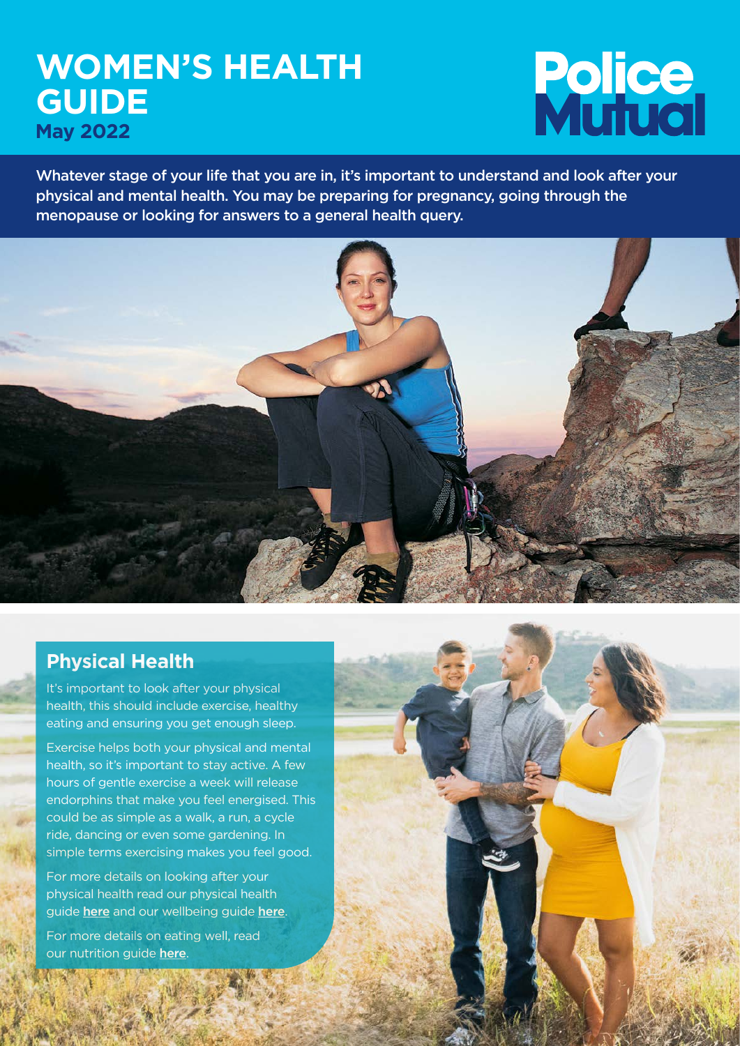# **WOMEN'S HEALTH GUIDE May 2022**

# **Police**<br>Mulual

Whatever stage of your life that you are in, it's important to understand and look after your physical and mental health. You may be preparing for pregnancy, going through the menopause or looking for answers to a general health query.



# **Physical Health**

It's important to look after your physical health, this should include exercise, healthy eating and ensuring you get enough sleep.

Exercise helps both your physical and mental health, so it's important to stay active. A few hours of gentle exercise a week will release endorphins that make you feel energised. This could be as simple as a walk, a run, a cycle ride, dancing or even some gardening. In simple terms exercising makes you feel good.

For more details on looking after your physical health read our physical health guide [here](https://policemutual.co.uk/assets/activity/wellbeing/wellbeing-guide-2022/) and our wellbeing guide here.

For more details on eating well, read our nutrition guide [here](https://www.policemutual.co.uk/assets/activity/wellbeing/national-nutrition-month-2021/).

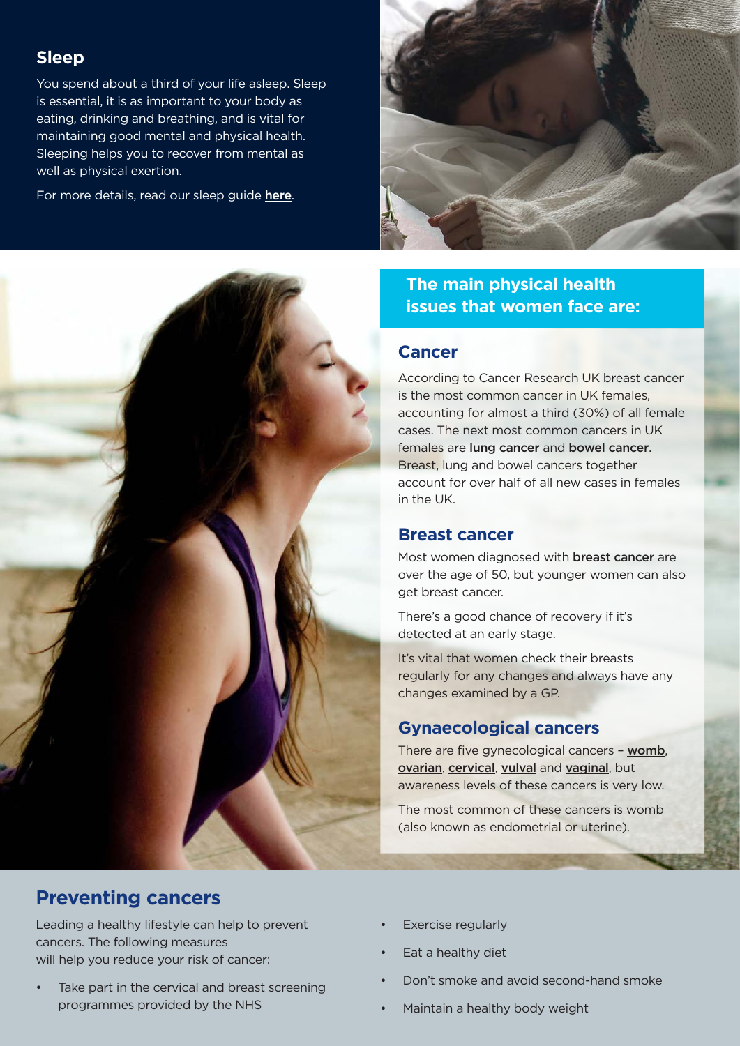#### **Sleep**

You spend about a third of your life asleep. Sleep is essential, it is as important to your body as eating, drinking and breathing, and is vital for maintaining good mental and physical health. Sleeping helps you to recover from mental as well as physical exertion.

For more details, read our sleep guide [here](www.policemutual.co.uk/assets/activity/wellbeing/sleep-2021).





# **The main physical health issues that women face are:**

#### **Cancer**

According to Cancer Research UK breast cancer is the most common cancer in UK females, accounting for almost a third (30%) of all female cases. The next most common cancers in UK females are [lung cancer](https://www.nhs.uk/conditions/lung-cancer/) and [bowel cancer](https://www.nhs.uk/conditions/bowel-cancer/). Breast, lung and bowel cancers together account for over half of all new cases in females in the UK.

#### **Breast cancer**

Most women diagnosed with **[breast cancer](https://www.nhs.uk/conditions/breast-cancer/)** are over the age of 50, but younger women can also get breast cancer.

There's a good chance of recovery if it's detected at an early stage.

It's vital that women check their breasts regularly for any changes and always have any changes examined by a GP.

## **Gynaecological cancers**

There are five gynecological cancers – [womb](https://www.nhs.uk/conditions/womb-cancer/), [ovarian](https://www.nhs.uk/conditions/ovarian-cancer/), [cervical](https://www.nhs.uk/conditions/cervical-cancer/), [vulval](https://www.nhs.uk/conditions/vulval-cancer/) and [vaginal](https://www.nhs.uk/conditions/vaginal-cancer/), but awareness levels of these cancers is very low.

The most common of these cancers is womb (also known as endometrial or uterine).

# **Preventing cancers**

Leading a healthy lifestyle can help to prevent cancers. The following measures will help you reduce your risk of cancer:

- Take part in the cervical and breast screening programmes provided by the NHS
- Exercise regularly
- Eat a healthy diet
- Don't smoke and avoid second-hand smoke
- Maintain a healthy body weight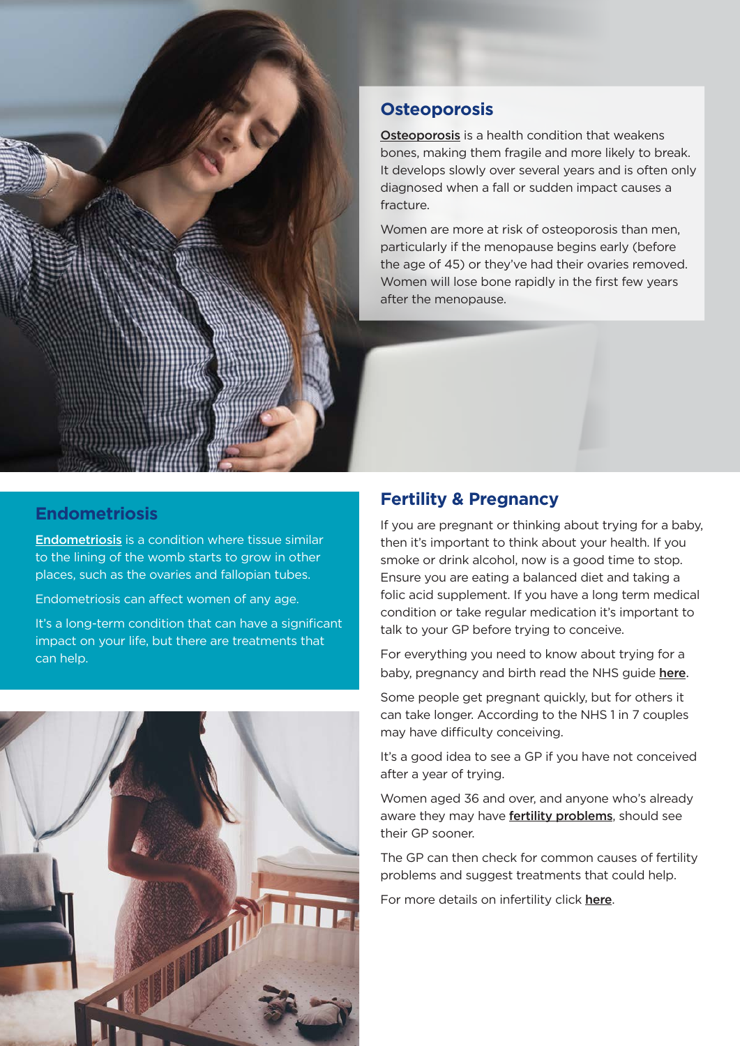

# **Osteoporosis**

[Osteoporosis](https://www.nhs.uk/conditions/osteoporosis/) is a health condition that weakens bones, making them fragile and more likely to break. It develops slowly over several years and is often only diagnosed when a fall or sudden impact causes a fracture.

Women are more at risk of osteoporosis than men, particularly if the menopause begins early (before the age of 45) or they've had their ovaries removed. Women will lose bone rapidly in the first few years after the menopause.

#### **Endometriosis**

[Endometriosis](https://www.nhs.uk/conditions/endometriosis/) is a condition where tissue similar to the lining of the womb starts to grow in other places, such as the ovaries and fallopian tubes.

Endometriosis can affect women of any age.

It's a long-term condition that can have a significant impact on your life, but there are treatments that can help.



#### **Fertility & Pregnancy**

If you are pregnant or thinking about trying for a baby, then it's important to think about your health. If you smoke or drink alcohol, now is a good time to stop. Ensure you are eating a balanced diet and taking a folic acid supplement. If you have a long term medical condition or take regular medication it's important to talk to your GP before trying to conceive.

For everything you need to know about trying for a baby, pregnancy and birth read the NHS guide [here](https://www.nhs.uk/pregnancy/).

Some people get pregnant quickly, but for others it can take longer. According to the NHS 1 in 7 couples may have difficulty conceiving.

It's a good idea to see a GP if you have not conceived after a year of trying.

Women aged 36 and over, and anyone who's already aware they may have [fertility problems](https://www.nhs.uk/conditions/early-menopause/), should see their GP sooner.

The GP can then check for common causes of [fertility](https://www.nhs.uk/conditions/infertility/causes/)  [problems](https://www.nhs.uk/conditions/infertility/causes/) and suggest treatments that could help.

For more details on infertility click [here](https://www.nhs.uk/conditions/infertility/).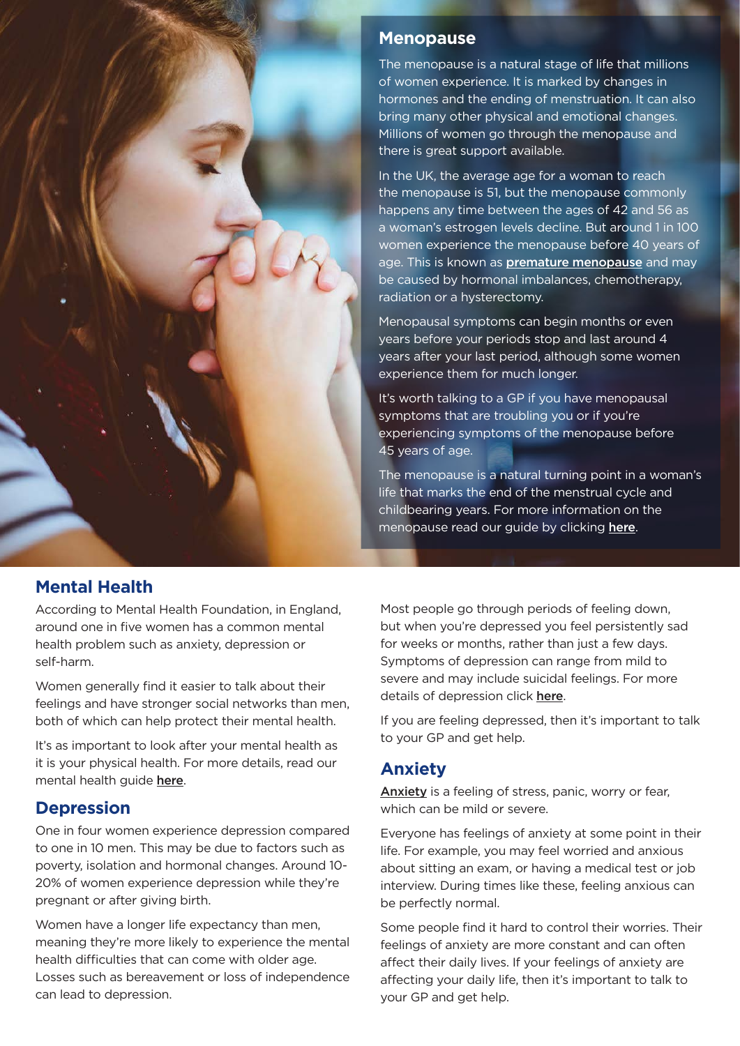

#### **Menopause**

The menopause is a natural stage of life that millions of women experience. It is marked by changes in hormones and the ending of menstruation. It can also bring many other physical and emotional changes. Millions of women go through the menopause and there is great support available.

In the UK, the average age for a woman to reach the menopause is 51, but the menopause commonly happens any time between the ages of 42 and 56 as a woman's estrogen levels decline. But around 1 in 100 women experience the menopause before 40 years of age. This is known as **[premature menopause](https://www.nhs.uk/conditions/early-menopause/)** and may be caused by hormonal imbalances, chemotherapy, radiation or a hysterectomy.

Menopausal symptoms can begin months or even years before your periods stop and last around 4 years after your last period, although some women experience them for much longer.

It's worth talking to a GP if you have menopausal symptoms that are troubling you or if you're experiencing symptoms of the menopause before 45 years of age.

The menopause is a natural turning point in a woman's life that marks the end of the menstrual cycle and childbearing years. For more information on the menopause read our guide by clicking [here](http://www.policemutual.co.uk/assets/activity/wellbeing/menopause-2021/).

## **Mental Health**

According to Mental Health Foundation, in England, around one in five women has a common mental health problem such as anxiety, depression or self-harm.

Women generally find it easier to talk about their feelings and have stronger social networks than men, both of which can help protect their mental health.

It's as important to look after your mental health as it is your physical health. For more details, read our mental health guide [here](www.policemutual.co.uk/assets/activity/wellbeing/world-mental-health-day-2021/).

#### **Depression**

One in four women experience depression compared to one in 10 men. This may be due to factors such as poverty, isolation and hormonal changes. Around 10- 20% of women experience depression while they're pregnant or after giving birth.

Women have a longer life expectancy than men, meaning they're more likely to experience the mental health difficulties that can come with older age. Losses such as bereavement or loss of independence can lead to depression.

Most people go through periods of feeling down, but when you're depressed you feel persistently sad for weeks or months, rather than just a few days. Symptoms of depression can range from mild to severe and may include suicidal feelings. For more details of depression click [here](https://www.nhs.uk/mental-health/conditions/clinical-depression/overview/).

If you are feeling depressed, then it's important to talk to your GP and get help.

## **Anxiety**

[Anxiety](https://www.nhs.uk/mental-health/conditions/anxiety/) is a feeling of stress, panic, worry or fear, which can be mild or severe.

Everyone has feelings of anxiety at some point in their life. For example, you may feel worried and anxious about sitting an exam, or having a medical test or job interview. During times like these, feeling anxious can be perfectly normal.

Some people find it hard to control their worries. Their feelings of anxiety are more constant and can often affect their daily lives. If your feelings of anxiety are affecting your daily life, then it's important to talk to your GP and get help.